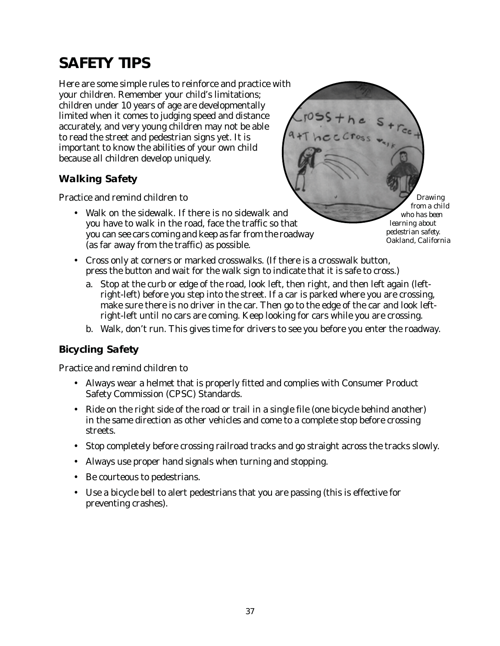# **SAFETY TIPS**

Here are some simple rules to reinforce and practice with your children. Remember your child's limitations; children under 10 years of age are developmentally limited when it comes to judging speed and distance accurately, and very young children may not be able to read the street and pedestrian signs yet. It is important to know the abilities of your own child because all children develop uniquely.

# **Walking Safety**

Practice and remind children to

• Walk on the sidewalk. If there is no sidewalk and you have to walk in the road, face the traffic so that you can see cars coming and keep as far from the roadway (as far away from the traffic) as possible.

*Drawing from a child who has been learning about pedestrian safety. Oakland, California*

- Cross only at corners or marked crosswalks. (If there is a crosswalk button, press the button and wait for the walk sign to indicate that it is safe to cross.)
	- a. Stop at the curb or edge of the road, look left, then right, and then left again (leftright-left) before you step into the street. If a car is parked where you are crossing, make sure there is no driver in the car. Then go to the edge of the car and look leftright-left until no cars are coming. Keep looking for cars while you are crossing.
	- b. Walk, don't run. This gives time for drivers to see you before you enter the roadway.

#### **Bicycling Safety**

Practice and remind children to

- Always wear a helmet that is properly fitted and complies with Consumer Product Safety Commission (CPSC) Standards.
- Ride on the right side of the road or trail in a single file (one bicycle behind another) in the same direction as other vehicles and come to a complete stop before crossing streets.
- Stop completely before crossing railroad tracks and go straight across the tracks slowly.
- Always use proper hand signals when turning and stopping.
- Be courteous to pedestrians.
- Use a bicycle bell to alert pedestrians that you are passing (this is effective for preventing crashes).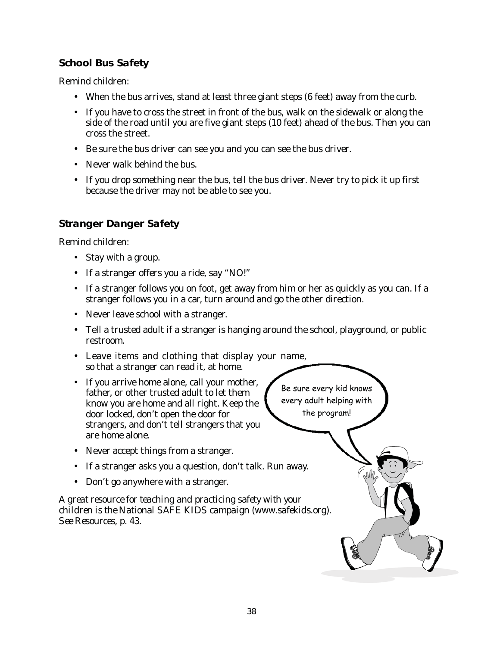# **School Bus Safety**

Remind children:

- When the bus arrives, stand at least three giant steps (6 feet) away from the curb.
- If you have to cross the street in front of the bus, walk on the sidewalk or along the side of the road until you are five giant steps (10 feet) ahead of the bus. Then you can cross the street.
- Be sure the bus driver can see you and you can see the bus driver.
- Never walk behind the bus.
- If you drop something near the bus, tell the bus driver. Never try to pick it up first because the driver may not be able to see you.

# **Stranger Danger Safety**

Remind children:

- Stay with a group.
- If a stranger offers you a ride, say "NO!"
- If a stranger follows you on foot, get away from him or her as quickly as you can. If a stranger follows you in a car, turn around and go the other direction.
- Never leave school with a stranger.
- Tell a trusted adult if a stranger is hanging around the school, playground, or public restroom.
- Leave items and clothing that display your name, so that a stranger can read it, at home.
- If you arrive home alone, call your mother, father, or other trusted adult to let them know you are home and all right. Keep the door locked, don't open the door for strangers, and don't tell strangers that you are home alone.
- Never accept things from a stranger.
- If a stranger asks you a question, don't talk. Run away.
- Don't go anywhere with a stranger.

*A great resource for teaching and practicing safety with your children is the National SAFE KIDS campaign (www.safekids.org). See Resources, p. 43.*

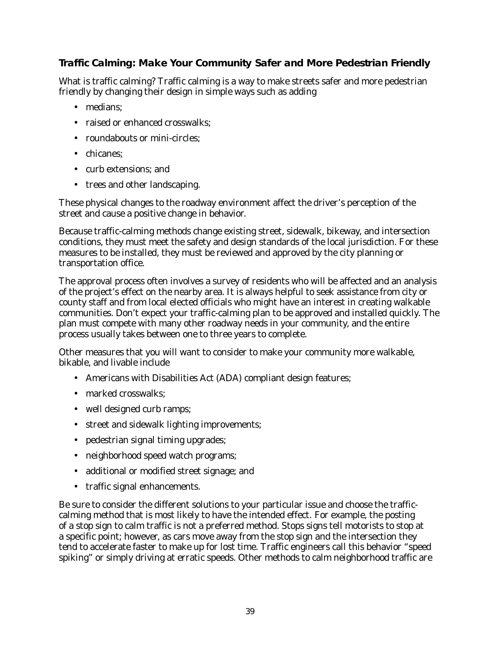# **Traffic Calming: Make Your Community Safer and More Pedestrian Friendly**

What is traffic calming? Traffic calming is a way to make streets safer and more pedestrian friendly by changing their design in simple ways such as adding

- medians;
- raised or enhanced crosswalks:
- roundabouts or mini-circles;
- chicanes;
- curb extensions; and
- trees and other landscaping.

These physical changes to the roadway environment affect the driver's perception of the street and cause a positive change in behavior.

Because traffic-calming methods change existing street, sidewalk, bikeway, and intersection conditions, they must meet the safety and design standards of the local jurisdiction. For these measures to be installed, they must be reviewed and approved by the city planning or transportation office.

The approval process often involves a survey of residents who will be affected and an analysis of the project's effect on the nearby area. It is always helpful to seek assistance from city or county staff and from local elected officials who might have an interest in creating walkable communities. Don't expect your traffic-calming plan to be approved and installed quickly. The plan must compete with many other roadway needs in your community, and the entire process usually takes between one to three years to complete.

Other measures that you will want to consider to make your community more walkable, bikable, and livable include

- Americans with Disabilities Act (ADA) compliant design features;
- marked crosswalks:
- well designed curb ramps;
- street and sidewalk lighting improvements;
- pedestrian signal timing upgrades;
- neighborhood speed watch programs;
- additional or modified street signage; and
- traffic signal enhancements.

Be sure to consider the different solutions to your particular issue and choose the trafficcalming method that is most likely to have the intended effect. For example, the posting of a stop sign to calm traffic is not a preferred method. Stops signs tell motorists to stop at a specific point; however, as cars move away from the stop sign and the intersection they tend to accelerate faster to make up for lost time. Traffic engineers call this behavior "speed spiking" or simply driving at erratic speeds. Other methods to calm neighborhood traffic are